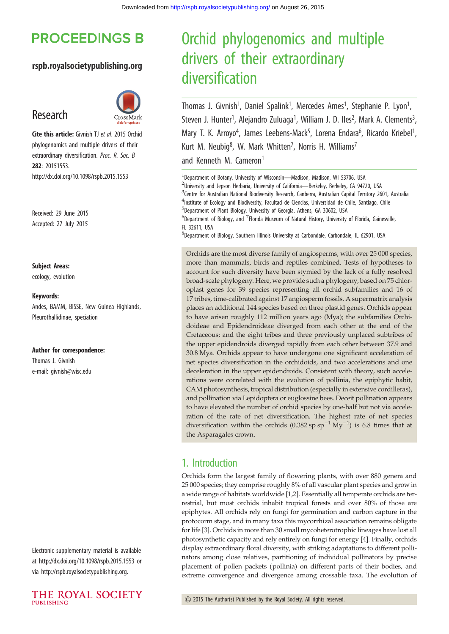# **PROCEEDINGS B**

#### rspb.royalsocietypublishing.org

## Research



Cite this article: Givnish TJ et al. 2015 Orchid phylogenomics and multiple drivers of their extraordinary diversification. Proc. R. Soc. B 282: 20151553. http://dx.doi.org/10.1098/rspb.2015.1553

Received: 29 June 2015 Accepted: 27 July 2015

Subject Areas:

ecology, evolution

#### Keywords:

Andes, BAMM, BiSSE, New Guinea Highlands, Pleurothallidinae, speciation

#### Author for correspondence:

Thomas J. Givnish e-mail: [givnish@wisc.edu](mailto:givnish@wisc.edu)

Electronic supplementary material is available at http://dx.doi.org/10.1098/rspb.2015.1553 or via http://rspb.royalsocietypublishing.org.



# Orchid phylogenomics and multiple drivers of their extraordinary diversification

Thomas J. Givnish<sup>1</sup>, Daniel Spalink<sup>1</sup>, Mercedes Ames<sup>1</sup>, Stephanie P. Lyon<sup>1</sup> , Steven J. Hunter<sup>1</sup>, Alejandro Zuluaga<sup>1</sup>, William J. D. Iles<sup>2</sup>, Mark A. Clements<sup>3</sup> , Mary T. K. Arroyo<sup>4</sup>, James Leebens-Mack<sup>5</sup>, Lorena Endara<sup>6</sup>, Ricardo Kriebel<sup>1</sup> , Kurt M. Neubig<sup>8</sup>, W. Mark Whitten<sup>7</sup>, Norris H. Williams<sup>7</sup> and Kenneth M. Cameron<sup>1</sup>

<sup>1</sup>Department of Botany, University of Wisconsin-Madison, Madison, WI 53706, USA <sup>2</sup>University and Jepson Herbaria, University of California-Berkeley, Berkeley, CA 94720, USA <sup>3</sup>Centre for Australian National Biodiversity Research, Canberra, Australian Capital Territory 2601, Australia <sup>4</sup>Institute of Ecology and Biodiversity, Facultad de Ciencias, Universidad de Chile, Santiago, Chile 5 Department of Plant Biology, University of Georgia, Athens, GA 30602, USA  ${}^{6}$ Department of Biology, and  ${}^{7}$ Florida Museum of Natural History, University of Florida, Gainesville, FL 32611, USA 8 Department of Biology, Southern Illinois University at Carbondale, Carbondale, IL 62901, USA

Orchids are the most diverse family of angiosperms, with over 25 000 species, more than mammals, birds and reptiles combined. Tests of hypotheses to account for such diversity have been stymied by the lack of a fully resolved broad-scale phylogeny. Here, we provide such a phylogeny, based on 75 chloroplast genes for 39 species representing all orchid subfamilies and 16 of 17 tribes, time-calibrated against 17 angiosperm fossils. A supermatrix analysis places an additional 144 species based on three plastid genes. Orchids appear to have arisen roughly 112 million years ago (Mya); the subfamilies Orchidoideae and Epidendroideae diverged from each other at the end of the Cretaceous; and the eight tribes and three previously unplaced subtribes of the upper epidendroids diverged rapidly from each other between 37.9 and 30.8 Mya. Orchids appear to have undergone one significant acceleration of net species diversification in the orchidoids, and two accelerations and one deceleration in the upper epidendroids. Consistent with theory, such accelerations were correlated with the evolution of pollinia, the epiphytic habit, CAM photosynthesis, tropical distribution (especially in extensive cordilleras), and pollination via Lepidoptera or euglossine bees. Deceit pollination appears to have elevated the number of orchid species by one-half but not via acceleration of the rate of net diversification. The highest rate of net species diversification within the orchids  $(0.382 \text{ sp s}p^{-1} \text{ My}^{-1})$  is 6.8 times that at the Asparagales crown.

## 1. Introduction

Orchids form the largest family of flowering plants, with over 880 genera and 25 000 species; they comprise roughly 8% of all vascular plant species and grow in a wide range of habitats worldwide [[1](#page-8-0),[2](#page-8-0)]. Essentially all temperate orchids are terrestrial, but most orchids inhabit tropical forests and over 80% of those are epiphytes. All orchids rely on fungi for germination and carbon capture in the protocorm stage, and in many taxa this mycorrhizal association remains obligate for life [[3](#page-8-0)]. Orchids in more than 30 small mycoheterotrophic lineages have lost all photosynthetic capacity and rely entirely on fungi for energy [\[4\]](#page-8-0). Finally, orchids display extraordinary floral diversity, with striking adaptations to different pollinators among close relatives, partitioning of individual pollinators by precise placement of pollen packets (pollinia) on different parts of their bodies, and extreme convergence and divergence among crossable taxa. The evolution of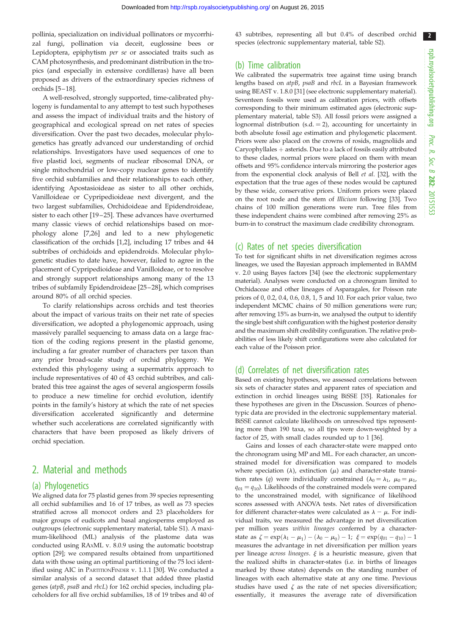pollinia, specialization on individual pollinators or mycorrhizal fungi, pollination via deceit, euglossine bees or Lepidoptera, epiphytism per se or associated traits such as CAM photosynthesis, and predominant distribution in the tropics (and especially in extensive cordilleras) have all been proposed as drivers of the extraordinary species richness of orchids [[5](#page-8-0)–[18](#page-9-0)].

A well-resolved, strongly supported, time-calibrated phylogeny is fundamental to any attempt to test such hypotheses and assess the impact of individual traits and the history of geographical and ecological spread on net rates of species diversification. Over the past two decades, molecular phylogenetics has greatly advanced our understanding of orchid relationships. Investigators have used sequences of one to five plastid loci, segments of nuclear ribosomal DNA, or single mitochondrial or low-copy nuclear genes to identify five orchid subfamilies and their relationships to each other, identifying Apostasioideae as sister to all other orchids, Vanilloideae or Cypripedioideae next divergent, and the two largest subfamilies, Orchidoideae and Epidendroideae, sister to each other [\[19](#page-9-0) –[25](#page-9-0)]. These advances have overturned many classic views of orchid relationships based on morphology alone [[7](#page-8-0),[26\]](#page-9-0) and led to a new phylogenetic classification of the orchids [[1](#page-8-0),[2](#page-8-0)], including 17 tribes and 44 subtribes of orchidoids and epidendroids. Molecular phylogenetic studies to date have, however, failed to agree in the placement of Cypripedioideae and Vanilloideae, or to resolve and strongly support relationships among many of the 13 tribes of subfamily Epidendroideae [[25](#page-9-0) –[28\]](#page-9-0), which comprises around 80% of all orchid species.

To clarify relationships across orchids and test theories about the impact of various traits on their net rate of species diversification, we adopted a phylogenomic approach, using massively parallel sequencing to amass data on a large fraction of the coding regions present in the plastid genome, including a far greater number of characters per taxon than any prior broad-scale study of orchid phylogeny. We extended this phylogeny using a supermatrix approach to include representatives of 40 of 43 orchid subtribes, and calibrated this tree against the ages of several angiosperm fossils to produce a new timeline for orchid evolution, identify points in the family's history at which the rate of net species diversification accelerated significantly and determine whether such accelerations are correlated significantly with characters that have been proposed as likely drivers of orchid speciation.

## 2. Material and methods

#### (a) Phylogenetics

We aligned data for 75 plastid genes from 39 species representing all orchid subfamilies and 16 of 17 tribes, as well as 73 species stratified across all monocot orders and 23 placeholders for major groups of eudicots and basal angiosperms employed as outgroups (electronic supplementary material, table S1). A maximum-likelihood (ML) analysis of the plastome data was conducted using RAXML v. 8.0.9 using the automatic bootstrap option [\[29\]](#page-9-0); we compared results obtained from unpartitioned data with those using an optimal partitioning of the 75 loci identified using AIC in PARTITIONFINDER v. 1.1.1 [\[30\]](#page-9-0). We conducted a similar analysis of a second dataset that added three plastid genes (atpB, psaB and rbcL) for 162 orchid species, including placeholders for all five orchid subfamilies, 18 of 19 tribes and 40 of 43 subtribes, representing all but 0.4% of described orchid species (electronic supplementary material, table S2).

#### (b) Time calibration

We calibrated the supermatrix tree against time using branch lengths based on atpB, psaB and rbcL in a Bayesian framework using BEAST v. 1.8.0 [[31](#page-9-0)] (see electronic supplementary material). Seventeen fossils were used as calibration priors, with offsets corresponding to their minimum estimated ages (electronic supplementary material, table S3). All fossil priors were assigned a lognormal distribution  $(s.d. = 2)$ , accounting for uncertainty in both absolute fossil age estimation and phylogenetic placement. Priors were also placed on the crowns of rosids, magnoliids and  $Caryophyllales + asterids. Due to a lack of fossils easily attributed$ to these clades, normal priors were placed on them with mean offsets and 95% confidence intervals mirroring the posterior ages from the exponential clock analysis of Bell et al. [[32](#page-9-0)], with the expectation that the true ages of these nodes would be captured by these wide, conservative priors. Uniform priors were placed on the root node and the stem of Illicium following [\[33\]](#page-9-0). Two chains of 100 million generations were run. Tree files from these independent chains were combined after removing 25% as burn-in to construct the maximum clade credibility chronogram.

#### (c) Rates of net species diversification

To test for significant shifts in net diversification regimes across lineages, we used the Bayesian approach implemented in BAMM v. 2.0 using Bayes factors [\[34\]](#page-9-0) (see the electronic supplementary material). Analyses were conducted on a chronogram limited to Orchidaceae and other lineages of Asparagales, for Poisson rate priors of 0, 0.2, 0.4, 0.6, 0.8, 1, 5 and 10. For each prior value, two independent MCMC chains of 50 million generations were run; after removing 15% as burn-in, we analysed the output to identify the single best shift configuration with the highest posterior density and the maximum shift credibility configuration. The relative probabilities of less likely shift configurations were also calculated for each value of the Poisson prior.

#### (d) Correlates of net diversification rates

Based on existing hypotheses, we assessed correlations between six sets of character states and apparent rates of speciation and extinction in orchid lineages using BiSSE [\[35\]](#page-9-0). Rationales for these hypotheses are given in the Discussion. Sources of phenotypic data are provided in the electronic supplementary material. BiSSE cannot calculate likelihoods on unresolved tips representing more than 190 taxa, so all tips were down-weighted by a factor of 25, with small clades rounded up to 1 [\[36\]](#page-9-0).

Gains and losses of each character-state were mapped onto the chronogram using MP and ML. For each character, an unconstrained model for diversification was compared to models where speciation ( $\lambda$ ), extinction ( $\mu$ ) and character-state transition rates (q) were individually constrained ( $\lambda_0 = \lambda_1$ ,  $\mu_0 = \mu_1$ ,  $q_{01} = q_{10}$ ). Likelihoods of the constrained models were compared to the unconstrained model, with significance of likelihood scores assessed with ANOVA tests. Net rates of diversification for different character-states were calculated as  $\lambda - \mu$ . For individual traits, we measured the advantage in net diversification per million years within lineages conferred by a characterstate as  $\zeta = \exp(\lambda_1 - \mu_1) - (\lambda_0 - \mu_0) - 1; \; \xi = \exp(q_{01} - q_{10}) - 1$ measures the advantage in net diversification per million years per lineage across lineages.  $\xi$  is a heuristic measure, given that the realized shifts in character-states (i.e. in births of lineages marked by those states) depends on the standing number of lineages with each alternative state at any one time. Previous studies have used  $\zeta$  as the rate of net species diversification; essentially, it measures the average rate of diversification  $2<sup>2</sup>$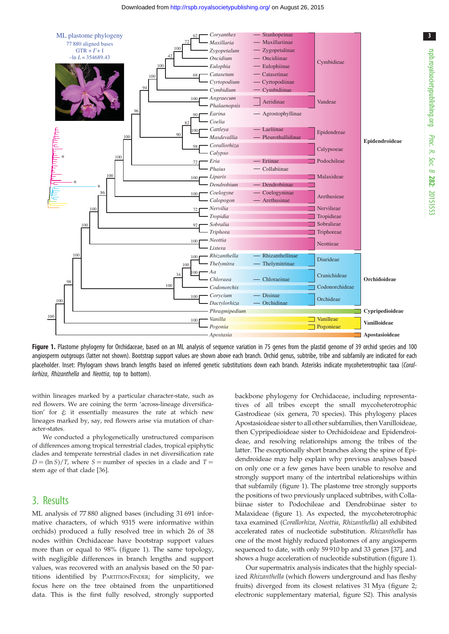<span id="page-2-0"></span>

Figure 1. Plastome phylogeny for Orchidaceae, based on an ML analysis of sequence variation in 75 genes from the plastid genome of 39 orchid species and 100 angiosperm outgroups (latter not shown). Bootstrap support values are shown above each branch. Orchid genus, subtribe, tribe and subfamily are indicated for each placeholder. Inset: Phylogram shows branch lengths based on inferred genetic substitutions down each branch. Asterisks indicate mycoheterotrophic taxa (Corallorhiza, Rhizanthella and Neottia, top to bottom).

within lineages marked by a particular character-state, such as red flowers. We are coining the term 'across-lineage diversification' for  $\xi$ ; it essentially measures the rate at which new lineages marked by, say, red flowers arise via mutation of character-states.

We conducted a phylogenetically unstructured comparison of differences among tropical terrestrial clades, tropical epiphytic clades and temperate terrestrial clades in net diversification rate  $D = (\ln S)/T$ , where S = number of species in a clade and T = stem age of that clade [\[36\]](#page-9-0).

## 3. Results

ML analysis of 77 880 aligned bases (including 31 691 informative characters, of which 9315 were informative within orchids) produced a fully resolved tree in which 26 of 38 nodes within Orchidaceae have bootstrap support values more than or equal to 98% (figure 1). The same topology, with negligible differences in branch lengths and support values, was recovered with an analysis based on the 50 partitions identified by PARTITIONFINDER; for simplicity, we focus here on the tree obtained from the unpartitioned data. This is the first fully resolved, strongly supported

backbone phylogeny for Orchidaceae, including representatives of all tribes except the small mycoheterotrophic Gastrodieae (six genera, 70 species). This phylogeny places Apostasioideae sister to all other subfamilies, then Vanilloideae, then Cypripedioideae sister to Orchidoideae and Epidendroideae, and resolving relationships among the tribes of the latter. The exceptionally short branches along the spine of Epidendroideae may help explain why previous analyses based on only one or a few genes have been unable to resolve and strongly support many of the intertribal relationships within that subfamily (figure 1). The plastome tree strongly supports the positions of two previously unplaced subtribes, with Collabiinae sister to Podochileae and Dendrobiinae sister to Malaxideae (figure 1). As expected, the mycoheterotrophic taxa examined (Corallorhiza, Neottia, Rhizanthella) all exhibited accelerated rates of nucleotide substitution. Rhizanthella has one of the most highly reduced plastomes of any angiosperm sequenced to date, with only 59 910 bp and 33 genes [\[37](#page-9-0)], and shows a huge acceleration of nucleotide substitution (figure 1).

Our supermatrix analysis indicates that the highly specialized Rhizanthella (which flowers underground and has fleshy fruits) diverged from its closest relatives 31 Mya ([figure 2](#page-3-0); electronic supplementary material, figure S2). This analysis 3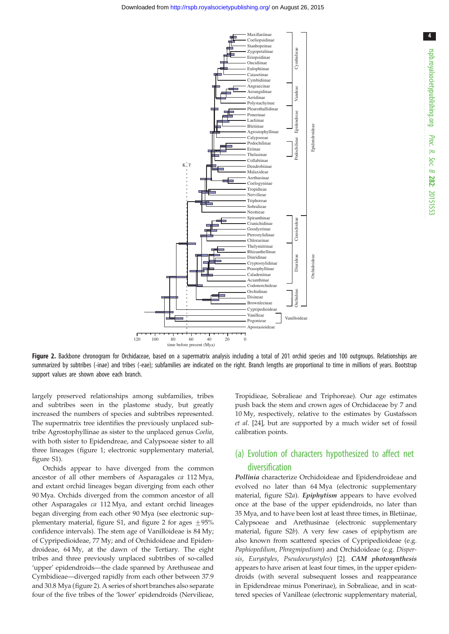<span id="page-3-0"></span>

rspb.royalsocietypublishing.org Proc. R. Soc. $\sigma$ 282: 20151553

4

Figure 2. Backbone chronogram for Orchidaceae, based on a supermatrix analysis including a total of 201 orchid species and 100 outgroups. Relationships are summarized by subtribes (-inae) and tribes (-eae); subfamilies are indicated on the right. Branch lengths are proportional to time in millions of years. Bootstrap support values are shown above each branch.

largely preserved relationships among subfamilies, tribes and subtribes seen in the plastome study, but greatly increased the numbers of species and subtribes represented. The supermatrix tree identifies the previously unplaced subtribe Agrostophyllinae as sister to the unplaced genus Coelia, with both sister to Epidendreae, and Calypsoeae sister to all three lineages [\(figure 1](#page-2-0); electronic supplementary material, figure S1).

Orchids appear to have diverged from the common ancestor of all other members of Asparagales ca 112 Mya, and extant orchid lineages began diverging from each other 90 Mya. Orchids diverged from the common ancestor of all other Asparagales ca 112 Mya, and extant orchid lineages began diverging from each other 90 Mya (see electronic supplementary material, figure S1, and figure 2 for ages  $+95%$ confidence intervals). The stem age of Vanilloideae is 84 My; of Cypripedioideae, 77 My; and of Orchidoideae and Epidendroideae, 64 My, at the dawn of the Tertiary. The eight tribes and three previously unplaced subtribes of so-called 'upper' epidendroids—the clade spanned by Arethuseae and Cymbidieae—diverged rapidly from each other between 37.9 and 30.8 Mya (figure 2). A series of short branches also separate four of the five tribes of the 'lower' epidendroids (Nervilieae, Tropidieae, Sobralieae and Triphoreae). Our age estimates push back the stem and crown ages of Orchidaceae by 7 and 10 My, respectively, relative to the estimates by Gustafsson et al. [\[24](#page-9-0)], but are supported by a much wider set of fossil calibration points.

## (a) Evolution of characters hypothesized to affect net diversification

Pollinia characterize Orchidoideae and Epidendroideae and evolved no later than 64 Mya (electronic supplementary material, figure S2a). Epiphytism appears to have evolved once at the base of the upper epidendroids, no later than 35 Mya, and to have been lost at least three times, in Bletiinae, Calypsoeae and Arethusinae (electronic supplementary material, figure S2b). A very few cases of epiphytism are also known from scattered species of Cypripedioideae (e.g. Paphiopedilum, Phragmipedium) and Orchidoideae (e.g. Dispersis, Eurystyles, Pseudoeurystyles) [[2](#page-8-0)]. CAM photosynthesis appears to have arisen at least four times, in the upper epidendroids (with several subsequent losses and reappearance in Epidendreae minus Ponerinae), in Sobralieae, and in scat-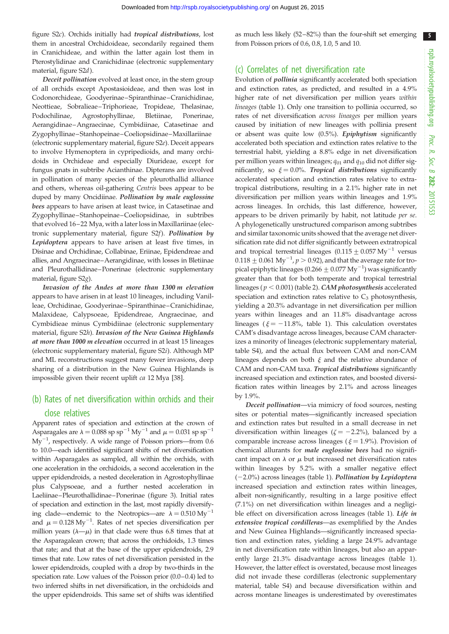figure S2c). Orchids initially had tropical distributions, lost them in ancestral Orchidoideae, secondarily regained them in Cranichideae, and within the latter again lost them in Pterostylidinae and Cranichidinae (electronic supplementary material, figure S2d).

Deceit pollination evolved at least once, in the stem group of all orchids except Apostasioideae, and then was lost in Codonorchideae, Goodyerinae–Spiranthinae–Cranichidinae, Neottieae, Sobralieae–Triphorieae, Tropideae, Thelasinae, Podochilinae, Agrostophyllinae, Bletiinae, Ponerinae, Aerangidinae–Angraecinae, Cymbidiinae, Catasetinae and Zygophyllinae–Stanhopeinae–Coeliopsidinae–Maxillariinae (electronic supplementary material, figure S2e). Deceit appears to involve Hymenoptera in cypripedioids, and many orchidoids in Orchideae and especially Diurideae, except for fungus gnats in subtribe Acianthinae. Dipterans are involved in pollination of many species of the pleurothallid alliance and others, whereas oil-gathering Centris bees appear to be duped by many Oncidiinae. Pollination by male euglossine bees appears to have arisen at least twice, in Catasetinae and Zygophyllinae–Stanhopeinae–Coeliopsidinae, in subtribes that evolved 16–22 Mya, with a later loss in Maxillariinae (electronic supplementary material, figure S2f). Pollination by Lepidoptera appears to have arisen at least five times, in Disinae and Orchidinae, Collabinae, Eriinae, Epidendreae and allies, and Angraecinae–Aerangidinae, with losses in Bletiinae and Pleurothallidinae–Ponerinae (electronic supplementary material, figure S2g).

Invasion of the Andes at more than 1300 m elevation appears to have arisen in at least 10 lineages, including Vanilleae, Orchidinae, Goodyerinae– Spiranthinae–Cranichidinae, Malaxideae, Calypsoeae, Epidendreae, Angraecinae, and Cymbidieae minus Cymbidiinae (electronic supplementary material, figure S2h). Invasion of the New Guinea Highlands at more than 1000 m elevation occurred in at least 15 lineages (electronic supplementary material, figure S2i). Although MP and ML reconstructions suggest many fewer invasions, deep sharing of a distribution in the New Guinea Highlands is impossible given their recent uplift ca 12 Mya [[38\]](#page-9-0).

## (b) Rates of net diversification within orchids and their close relatives

Apparent rates of speciation and extinction at the crown of Asparagales are  $\lambda = 0.088$  sp sp<sup>-1</sup> My<sup>-1</sup> and  $\mu = 0.031$  sp sp<sup>-1</sup>  $My^{-1}$ , respectively. A wide range of Poisson priors—from 0.6 to 10.0—each identified significant shifts of net diversification within Asparagales as sampled, all within the orchids, with one acceleration in the orchidoids, a second acceleration in the upper epidendroids, a nested deceleration in Agrostophyllinae plus Calypsoeae, and a further nested acceleration in Laeliinae–Pleurothallidinae–Ponerinae ([figure 3](#page-5-0)). Initial rates of speciation and extinction in the last, most rapidly diversifying clade—endemic to the Neotropics—are  $\lambda = 0.510 \text{ My}^{-1}$ and  $\mu = 0.128 \text{ My}^{-1}$ . Rates of net species diversification per million years  $(\lambda - \mu)$  in that clade were thus 6.8 times that at the Asparagalean crown; that across the orchidoids, 1.3 times that rate; and that at the base of the upper epidendroids, 2.9 times that rate. Low rates of net diversification persisted in the lower epidendroids, coupled with a drop by two-thirds in the speciation rate. Low values of the Poisson prior (0.0–0.4) led to two inferred shifts in net diversification, in the orchidoids and the upper epidendroids. This same set of shifts was identified

as much less likely (52–82%) than the four-shift set emerging from Poisson priors of 0.6, 0.8, 1.0, 5 and 10.

#### (c) Correlates of net diversification rate

Evolution of pollinia significantly accelerated both speciation and extinction rates, as predicted, and resulted in a 4.9% higher rate of net diversification per million years within lineages [\(table 1\)](#page-6-0). Only one transition to pollinia occurred, so rates of net diversification across lineages per million years caused by initiation of new lineages with pollinia present or absent was quite low (0.5%). Epiphytism significantly accelerated both speciation and extinction rates relative to the terrestrial habit, yielding a 8.8% edge in net diversification per million years within lineages;  $q_{01}$  and  $q_{10}$  did not differ significantly, so  $\xi = 0.0\%$ . Tropical distributions significantly accelerated speciation and extinction rates relative to extratropical distributions, resulting in a 2.1% higher rate in net diversification per million years within lineages and 1.9% across lineages. In orchids, this last difference, however, appears to be driven primarily by habit, not latitude per se. A phylogenetically unstructured comparison among subtribes and similar taxonomic units showed that the average net diversification rate did not differ significantly between extratropical and tropical terrestrial lineages  $(0.115 \pm 0.057 \,\mathrm{My}^{-1})$  versus  $0.118 \pm 0.061$  My<sup>-1</sup>,  $p > 0.92$ ), and that the average rate for tropical epiphytic lineages (0.266  $\pm$  0.077 My<sup>-1</sup>) was significantly greater than that for both temperate and tropical terrestrial lineages ( $p < 0.001$ ) ([table 2\)](#page-6-0). *CAM photosynthesis* accelerated speciation and extinction rates relative to  $C_3$  photosynthesis, yielding a 20.3% advantage in net diversification per million years within lineages and an 11.8% disadvantage across lineages ( $\xi = -11.8\%$ , [table 1](#page-6-0)). This calculation overstates CAM's disadvantage across lineages, because CAM characterizes a minority of lineages (electronic supplementary material, table S4), and the actual flux between CAM and non-CAM lineages depends on both  $\xi$  and the relative abundance of CAM and non-CAM taxa. Tropical distributions significantly increased speciation and extinction rates, and boosted diversification rates within lineages by 2.1% and across lineages by 1.9%.

Deceit pollination—via mimicry of food sources, nesting sites or potential mates—significantly increased speciation and extinction rates but resulted in a small decrease in net diversification within lineages ( $\zeta = -2.2\%$ ), balanced by a comparable increase across lineages ( $\xi = 1.9\%$ ). Provision of chemical allurants for male euglossine bees had no significant impact on  $\lambda$  or  $\mu$  but increased net diversification rates within lineages by 5.2% with a smaller negative effect  $(-2.0\%)$  across lineages ([table 1\)](#page-6-0). Pollination by Lepidoptera increased speciation and extinction rates within lineages, albeit non-significantly, resulting in a large positive effect (7.1%) on net diversification within lineages and a negligi-ble effect on diversification across lineages [\(table 1](#page-6-0)). Life in extensive tropical cordilleras—as exemplified by the Andes and New Guinea Highlands—significantly increased speciation and extinction rates, yielding a large 24.9% advantage in net diversification rate within lineages, but also an apparently large 21.3% disadvantage across lineages ([table 1\)](#page-6-0). However, the latter effect is overstated, because most lineages did not invade these cordilleras (electronic supplementary material, table S4) and because diversification within and across montane lineages is underestimated by overestimates

5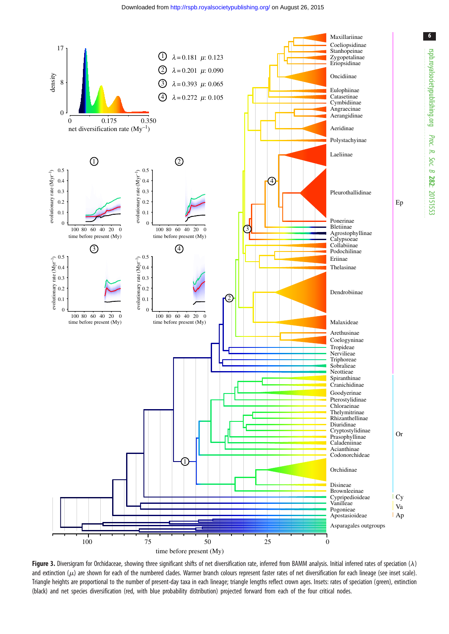<span id="page-5-0"></span>

Figure 3. Diversigram for Orchidaceae, showing three significant shifts of net diversification rate, inferred from BAMM analysis. Initial inferred rates of speciation ( $\lambda$ ) and extinction ( $\mu$ ) are shown for each of the numbered clades. Warmer branch colours represent faster rates of net diversification for each lineage (see inset scale). Triangle heights are proportional to the number of present-day taxa in each lineage; triangle lengths reflect crown ages. Insets: rates of speciation (green), extinction (black) and net species diversification (red, with blue probability distribution) projected forward from each of the four critical nodes.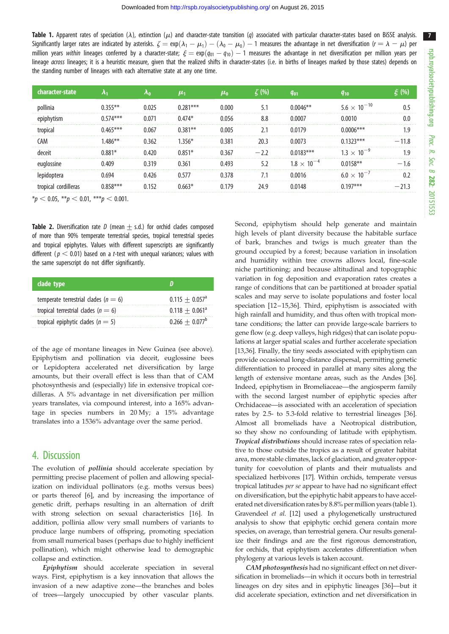<span id="page-6-0"></span>Table 1. Apparent rates of speciation ( $\lambda$ ), extinction ( $\mu$ ) and character-state transition (q) associated with particular character-states based on BiSSE analysis. Significantly larger rates are indicated by asterisks.  $\zeta = \exp(\lambda_1-\mu_1) - (\lambda_0-\mu_0)-1$  measures the advantage in net diversification ( $r=\lambda-\mu$ ) per million years *within* lineages conferred by a character-state;  $\xi = \exp(q_{01} - q_{10}) - 1$  measures the advantage in net diversification per million years per lineage across lineages; it is a heuristic measure, given that the realized shifts in character-states (i.e. in births of lineages marked by those states) depends on the standing number of lineages with each alternative state at any one time.

| character-state |     |       | $\boldsymbol{\mu_1}$ | $\mu_{0}$ | (%) | <b>g</b> <sub>01</sub> | 910                     |   |
|-----------------|-----|-------|----------------------|-----------|-----|------------------------|-------------------------|---|
|                 |     |       | ***                  | 0.000     | 5.1 |                        | $5.6 \times 10^{-10}$   |   |
|                 | *** | 0 071 | በ 474*               | 0.056     | 8.8 | ገ በበበ7                 | 0 0010                  |   |
|                 |     |       | 1**                  | 0.005     |     | በ179                   |                         |   |
| CAM             |     |       |                      | በ 381     |     |                        | ***                     |   |
|                 |     |       |                      | በ 367     |     | $***$                  |                         | . |
|                 |     |       | በ 361                | በ 493     | 5.2 |                        |                         |   |
|                 |     |       |                      | በ 37ጸ     | 7.1 | .<br>) በበ16            | 6.0 $\times$ 10 $^{-1}$ |   |
|                 |     |       |                      |           |     |                        | 7***                    |   |

 $*_{p}$  < 0.05,  $*_{p}$  < 0.01,  $**_{p}$  < 0.001.

**Table 2.** Diversification rate D (mean  $+$  s.d.) for orchid clades composed of more than 90% temperate terrestrial species, tropical terrestrial species and tropical epiphytes. Values with different superscripts are significantly different ( $p < 0.01$ ) based on a t-test with unequal variances; values with the same superscript do not differ significantly.

| clade type                               |                              |
|------------------------------------------|------------------------------|
| temperate terrestrial clades ( $n = 6$ ) | $0.115 + 0.057$ <sup>a</sup> |
| tropical terrestrial clades ( $n = 6$ )  | $0.118 + 0.061^a$            |
| tropical epiphytic clades ( $n = 5$ )    | $0.266 + 0.077^b$            |

of the age of montane lineages in New Guinea (see above). Epiphytism and pollination via deceit, euglossine bees or Lepidoptera accelerated net diversification by large amounts, but their overall effect is less than that of CAM photosynthesis and (especially) life in extensive tropical cordilleras. A 5% advantage in net diversification per million years translates, via compound interest, into a 165% advantage in species numbers in 20 My; a 15% advantage translates into a 1536% advantage over the same period.

#### 4. Discussion

The evolution of *pollinia* should accelerate speciation by permitting precise placement of pollen and allowing specialization on individual pollinators (e.g. moths versus bees) or parts thereof [\[6\]](#page-8-0), and by increasing the importance of genetic drift, perhaps resulting in an alternation of drift with strong selection on sexual characteristics [\[16](#page-9-0)]. In addition, pollinia allow very small numbers of variants to produce large numbers of offspring, promoting speciation from small numerical bases (perhaps due to highly inefficient pollination), which might otherwise lead to demographic collapse and extinction.

Epiphytism should accelerate speciation in several ways. First, epiphytism is a key innovation that allows the invasion of a new adaptive zone—the branches and boles of trees—largely unoccupied by other vascular plants. Second, epiphytism should help generate and maintain high levels of plant diversity because the habitable surface of bark, branches and twigs is much greater than the ground occupied by a forest; because variation in insolation and humidity within tree crowns allows local, fine-scale niche partitioning; and because altitudinal and topographic variation in fog deposition and evaporation rates creates a range of conditions that can be partitioned at broader spatial scales and may serve to isolate populations and foster local speciation [\[12](#page-8-0)-[15,](#page-8-0)[36\]](#page-9-0). Third, epiphytism is associated with high rainfall and humidity, and thus often with tropical montane conditions; the latter can provide large-scale barriers to gene flow (e.g. deep valleys, high ridges) that can isolate populations at larger spatial scales and further accelerate speciation [[13,](#page-8-0)[36\]](#page-9-0). Finally, the tiny seeds associated with epiphytism can provide occasional long-distance dispersal, permitting genetic differentiation to proceed in parallel at many sites along the length of extensive montane areas, such as the Andes [[36\]](#page-9-0). Indeed, epiphytism in Bromeliaceae—the angiosperm family with the second largest number of epiphytic species after Orchidaceae—is associated with an acceleration of speciation rates by 2.5- to 5.3-fold relative to terrestrial lineages [[36\]](#page-9-0). Almost all bromeliads have a Neotropical distribution, so they show no confounding of latitude with epiphytism. Tropical distributions should increase rates of speciation relative to those outside the tropics as a result of greater habitat area, more stable climates, lack of glaciation, and greater opportunity for coevolution of plants and their mutualists and specialized herbivores [\[17](#page-9-0)]. Within orchids, temperate versus tropical latitudes per se appear to have had no significant effect on diversification, but the epiphytic habit appears to have accelerated net diversification rates by 8.8% per million years (table 1). Gravendeel et al. [\[12\]](#page-8-0) used a phylogenetically unstructured analysis to show that epiphytic orchid genera contain more species, on average, than terrestrial genera. Our results generalize their findings and are the first rigorous demonstration, for orchids, that epiphytism accelerates differentiation when phylogeny at various levels is taken account.

CAM photosynthesis had no significant effect on net diversification in bromeliads—in which it occurs both in terrestrial lineages on dry sites and in epiphytic lineages [\[36](#page-9-0)]—but it did accelerate speciation, extinction and net diversification in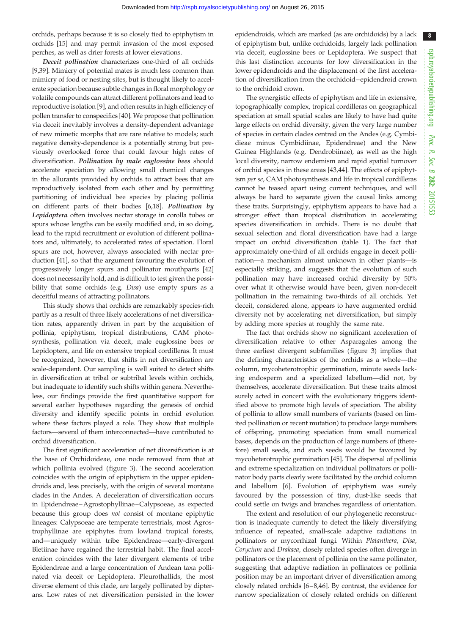8

orchids, perhaps because it is so closely tied to epiphytism in orchids [\[15\]](#page-8-0) and may permit invasion of the most exposed perches, as well as drier forests at lower elevations.

Deceit pollination characterizes one-third of all orchids [\[9,](#page-8-0)[39](#page-9-0)]. Mimicry of potential mates is much less common than mimicry of food or nesting sites, but is thought likely to accelerate speciation because subtle changes in floral morphology or volatile compounds can attract different pollinators and lead to reproductive isolation [[9](#page-8-0)], and often results in high efficiency of pollen transfer to conspecifics [[40\]](#page-9-0). We propose that pollination via deceit inevitably involves a density-dependent advantage of new mimetic morphs that are rare relative to models; such negative density-dependence is a potentially strong but previously overlooked force that could favour high rates of diversification. Pollination by male euglossine bees should accelerate speciation by allowing small chemical changes in the allurants provided by orchids to attract bees that are reproductively isolated from each other and by permitting partitioning of individual bee species by placing pollinia on different parts of their bodies [[6](#page-8-0),[18](#page-9-0)]. Pollination by Lepidoptera often involves nectar storage in corolla tubes or spurs whose lengths can be easily modified and, in so doing, lead to the rapid recruitment or evolution of different pollinators and, ultimately, to accelerated rates of speciation. Floral spurs are not, however, always associated with nectar production [\[41](#page-9-0)], so that the argument favouring the evolution of progressively longer spurs and pollinator mouthparts [[42\]](#page-9-0) does not necessarily hold, and is difficult to test given the possibility that some orchids (e.g. Disa) use empty spurs as a deceitful means of attracting pollinators.

This study shows that orchids are remarkably species-rich partly as a result of three likely accelerations of net diversification rates, apparently driven in part by the acquisition of pollinia, epiphytism, tropical distributions, CAM photosynthesis, pollination via deceit, male euglossine bees or Lepidoptera, and life on extensive tropical cordilleras. It must be recognized, however, that shifts in net diversification are scale-dependent. Our sampling is well suited to detect shifts in diversification at tribal or subtribal levels within orchids, but inadequate to identify such shifts within genera. Nevertheless, our findings provide the first quantitative support for several earlier hypotheses regarding the genesis of orchid diversity and identify specific points in orchid evolution where these factors played a role. They show that multiple factors—several of them interconnected—have contributed to orchid diversification.

The first significant acceleration of net diversification is at the base of Orchidoideae, one node removed from that at which pollinia evolved ([figure 3\)](#page-5-0). The second acceleration coincides with the origin of epiphytism in the upper epidendroids and, less precisely, with the origin of several montane clades in the Andes. A deceleration of diversification occurs in Epidendreae –Agrostophyllinae –Calypsoeae, as expected because this group does not consist of montane epiphytic lineages: Calypsoeae are temperate terrestrials, most Agrostrophyllinae are epiphytes from lowland tropical forests, and—uniquely within tribe Epidendreae—early-divergent Bletiinae have regained the terrestrial habit. The final acceleration coincides with the later divergent elements of tribe Epidendreae and a large concentration of Andean taxa pollinated via deceit or Lepidoptera. Pleurothallids, the most diverse element of this clade, are largely pollinated by dipterans. Low rates of net diversification persisted in the lower epidendroids, which are marked (as are orchidoids) by a lack of epiphytism but, unlike orchidoids, largely lack pollination via deceit, euglossine bees or Lepidoptera. We suspect that this last distinction accounts for low diversification in the lower epidendroids and the displacement of the first acceleration of diversification from the orchidoid–epidendroid crown to the orchidoid crown.

The synergistic effects of epiphytism and life in extensive, topographically complex, tropical cordilleras on geographical speciation at small spatial scales are likely to have had quite large effects on orchid diversity, given the very large number of species in certain clades centred on the Andes (e.g. Cymbidieae minus Cymbidiinae, Epidendreae) and the New Guinea Highlands (e.g. Dendrobiinae), as well as the high local diversity, narrow endemism and rapid spatial turnover of orchid species in these areas [\[43](#page-9-0),[44\]](#page-9-0). The effects of epiphytism per se, CAM photosynthesis and life in tropical cordilleras cannot be teased apart using current techniques, and will always be hard to separate given the causal links among these traits. Surprisingly, epiphytism appears to have had a stronger effect than tropical distribution in accelerating species diversification in orchids. There is no doubt that sexual selection and floral diversification have had a large impact on orchid diversification [\(table 1\)](#page-6-0). The fact that approximately one-third of all orchids engage in deceit pollination—a mechanism almost unknown in other plants—is especially striking, and suggests that the evolution of such pollination may have increased orchid diversity by 50% over what it otherwise would have been, given non-deceit pollination in the remaining two-thirds of all orchids. Yet deceit, considered alone, appears to have augmented orchid diversity not by accelerating net diversification, but simply by adding more species at roughly the same rate.

The fact that orchids show no significant acceleration of diversification relative to other Asparagales among the three earliest divergent subfamilies ([figure 3\)](#page-5-0) implies that the defining characteristics of the orchids as a whole—the column, mycoheterotrophic germination, minute seeds lacking endosperm and a specialized labellum—did not, by themselves, accelerate diversification. But these traits almost surely acted in concert with the evolutionary triggers identified above to promote high levels of speciation. The ability of pollinia to allow small numbers of variants (based on limited pollination or recent mutation) to produce large numbers of offspring, promoting speciation from small numerical bases, depends on the production of large numbers of (therefore) small seeds, and such seeds would be favoured by mycoheterotrophic germination [\[45](#page-9-0)]. The dispersal of pollinia and extreme specialization on individual pollinators or pollinator body parts clearly were facilitated by the orchid column and labellum [\[6\]](#page-8-0). Evolution of epiphytism was surely favoured by the possession of tiny, dust-like seeds that could settle on twigs and branches regardless of orientation.

The extent and resolution of our phylogenetic reconstruction is inadequate currently to detect the likely diversifying influence of repeated, small-scale adaptive radiations in pollinators or mycorrhizal fungi. Within Platanthera, Disa, Corycium and Drakaea, closely related species often diverge in pollinators or the placement of pollinia on the same pollinator, suggesting that adaptive radiation in pollinators or pollinia position may be an important driver of diversification among closely related orchids [\[6](#page-8-0)–[8,](#page-8-0)[46\]](#page-9-0). By contrast, the evidence for narrow specialization of closely related orchids on different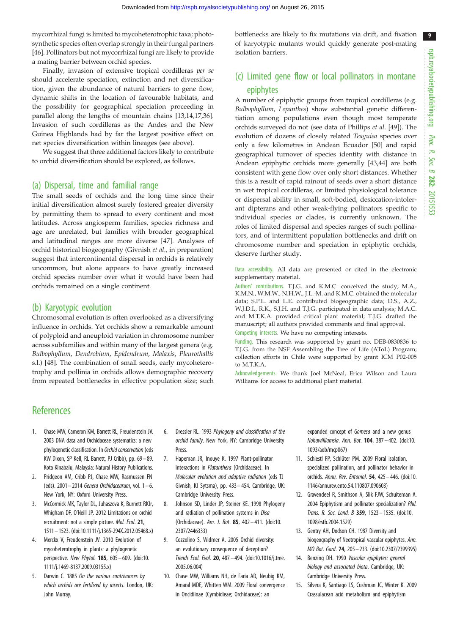9

<span id="page-8-0"></span>mycorrhizal fungi is limited to mycoheterotrophic taxa; photosynthetic species often overlap strongly in their fungal partners [\[46](#page-9-0)]. Pollinators but not mycorrhizal fungi are likely to provide a mating barrier between orchid species.

Finally, invasion of extensive tropical cordilleras per se should accelerate speciation, extinction and net diversification, given the abundance of natural barriers to gene flow, dynamic shifts in the location of favourable habitats, and the possibility for geographical speciation proceeding in parallel along the lengths of mountain chains [13,14[,17,36](#page-9-0)]. Invasion of such cordilleras as the Andes and the New Guinea Highlands had by far the largest positive effect on net species diversification within lineages (see above).

We suggest that three additional factors likely to contribute to orchid diversification should be explored, as follows.

#### (a) Dispersal, time and familial range

The small seeds of orchids and the long time since their initial diversification almost surely fostered greater diversity by permitting them to spread to every continent and most latitudes. Across angiosperm families, species richness and age are unrelated, but families with broader geographical and latitudinal ranges are more diverse [\[47](#page-9-0)]. Analyses of orchid historical biogeography (Givnish et al., in preparation) suggest that intercontinental dispersal in orchids is relatively uncommon, but alone appears to have greatly increased orchid species number over what it would have been had orchids remained on a single continent.

#### (b) Karyotypic evolution

Chromosomal evolution is often overlooked as a diversifying influence in orchids. Yet orchids show a remarkable amount of polyploid and aneuploid variation in chromosome number across subfamilies and within many of the largest genera (e.g. Bulbophyllum, Dendrobium, Epidendrum, Malaxis, Pleurothallis s.l.) [\[48](#page-9-0)]. The combination of small seeds, early mycoheterotrophy and pollinia in orchids allows demographic recovery from repeated bottlenecks in effective population size; such bottlenecks are likely to fix mutations via drift, and fixation of karyotypic mutants would quickly generate post-mating isolation barriers.

## (c) Limited gene flow or local pollinators in montane epiphytes

A number of epiphytic groups from tropical cordilleras (e.g. Bulbophyllum, Lepanthes) show substantial genetic differentiation among populations even though most temperate orchids surveyed do not (see data of Phillips et al. [[49\]](#page-9-0)). The evolution of dozens of closely related Teaguiea species over only a few kilometres in Andean Ecuador [[50\]](#page-9-0) and rapid geographical turnover of species identity with distance in Andean epiphytic orchids more generally [[43,44](#page-9-0)] are both consistent with gene flow over only short distances. Whether this is a result of rapid rainout of seeds over a short distance in wet tropical cordilleras, or limited physiological tolerance or dispersal ability in small, soft-bodied, desiccation-intolerant dipterans and other weak-flying pollinators specific to individual species or clades, is currently unknown. The roles of limited dispersal and species ranges of such pollinators, and of intermittent population bottlenecks and drift on chromosome number and speciation in epiphytic orchids, deserve further study.

Data accessibility. All data are presented or cited in the electronic supplementary material.

Authors' contributions. T.J.G. and K.M.C. conceived the study; M.A., K.M.N., W.M.W., N.H.W., J.L.-M. and K.M.C. obtained the molecular data; S.P.L. and L.E. contributed biogeographic data; D.S., A.Z., W.J.D.I., R.K., S.J.H. and T.J.G. participated in data analysis; M.A.C. and M.T.K.A. provided critical plant material; T.J.G. drafted the manuscript; all authors provided comments and final approval. Competing interests. We have no competing interests.

Funding. This research was supported by grant no. DEB-0830836 to T.J.G. from the NSF Assembling the Tree of Life (AToL) Program; collection efforts in Chile were supported by grant ICM P02-005 to M.T.K.A.

Acknowledgements. We thank Joel McNeal, Erica Wilson and Laura Williams for access to additional plant material.

## **References**

- 1. Chase MW, Cameron KM, Barrett RL, Freudenstein JV. 2003 DNA data and Orchidaceae systematics: a new phylogenetic classification. In Orchid conservation (eds KW Dixon, SP Kell, RL Barrett, PJ Cribb), pp. 69–89. Kota Kinabalu, Malaysia: Natural History Publications.
- 2. Pridgeon AM, Cribb PJ, Chase MW, Rasmussen FN (eds).  $2001 - 2014$  Genera Orchidacearum, vol.  $1 - 6$ . New York, NY: Oxford University Press.
- 3. McCormick MK, Taylor DL, Juhaszova K, Burnett RKJr, Whigham DF, O'Neill JP. 2012 Limitations on orchid recruitment: not a simple picture. Mol. Ecol. 21, 1511–1523. ([doi:10.1111/j.1365-294X.2012.05468.x\)](http://dx.doi.org/10.1111/j.1365-294X.2012.05468.x)
- 4. Merckx V, Freudenstein JV. 2010 Evolution of mycoheterotrophy in plants: a phylogenetic perspective. New Phytol. 185, 605– 609. [\(doi:10.](http://dx.doi.org/10.1111/j.1469-8137.2009.03155.x) [1111/j.1469-8137.2009.03155.x](http://dx.doi.org/10.1111/j.1469-8137.2009.03155.x))
- 5. Darwin C. 1885 On the various contrivances by which orchids are fertilized by insects. London, UK: John Murray.
- 6. Dressler RL. 1993 Phylogeny and classification of the orchid family. New York, NY: Cambridge University Press.
- 7. Hapeman JR, Inouye K. 1997 Plant-pollinator interactions in Platanthera (Orchidaceae). In Molecular evolution and adaptive radiation (eds TJ Givnish, KJ Sytsma), pp. 433– 454. Cambridge, UK: Cambridge University Press.
- 8. Johnson SD, Linder JP, Steiner KE. 1998 Phylogeny and radiation of pollination systems in Disa (Orchidaceae). Am. J. Bot. 85, 402 – 411. ([doi:10.](http://dx.doi.org/10.2307/2446333) [2307/2446333](http://dx.doi.org/10.2307/2446333))
- 9. Cozzolino S, Widmer A. 2005 Orchid diversity: an evolutionary consequence of deception? Trends Ecol. Evol. 20, 487– 494. ([doi:10.1016/j.tree.](http://dx.doi.org/10.1016/j.tree.2005.06.004) [2005.06.004\)](http://dx.doi.org/10.1016/j.tree.2005.06.004)
- 10. Chase MW, Williams NH, de Faria AD, Neubig KM, Amaral MDE, Whitten WM. 2009 Floral convergence in Oncidiinae (Cymbidieae; Orchidaceae): an

expanded concept of *Gomesa* and a new genus Nohawilliamsia. Ann. Bot. 104, 387– 402. [\(doi:10.](http://dx.doi.org/10.1093/aob/mcp067) [1093/aob/mcp067](http://dx.doi.org/10.1093/aob/mcp067))

- 11. Schiestl FP, Schlüter PM, 2009 Floral isolation, specialized pollination, and pollinator behavior in orchids. Annu. Rev. Entomol. 54, 425 – 446. [\(doi:10.](http://dx.doi.org/10.1146/annurev.ento.54.110807.090603) [1146/annurev.ento.54.110807.090603](http://dx.doi.org/10.1146/annurev.ento.54.110807.090603))
- 12. Gravendeel R, Smithson A, Slik FJW, Schuiteman A. 2004 Epiphytism and pollinator specialization? Phil. Trans. R. Soc. Lond. B 359, 1523– 1535. ([doi:10.](http://dx.doi.org/10.1098/rstb.2004.1529) [1098/rstb.2004.1529](http://dx.doi.org/10.1098/rstb.2004.1529))
- 13. Gentry AH, Dodson CH. 1987 Diversity and biogeography of Neotropical vascular epiphytes. Ann. MO Bot. Gard. 74, 205– 233. [\(doi:10.2307/2399395](http://dx.doi.org/10.2307/2399395))
- 14. Benzing DH. 1990 Vascular epiphytes: general biology and associated biota. Cambridge, UK: Cambridge University Press.
- 15. Silvera K, Santiago LS, Cushman JC, Winter K. 2009 Crassulacean acid metabolism and epiphytism